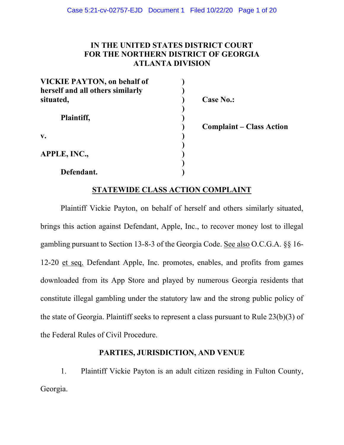# **IN THE UNITED STATES DISTRICT COURT FOR THE NORTHERN DISTRICT OF GEORGIA ATLANTA DIVISION**

| <b>VICKIE PAYTON, on behalf of</b> |                  |
|------------------------------------|------------------|
| herself and all others similarly   |                  |
| situated,                          | <b>Case No.:</b> |
|                                    |                  |
| Plaintiff,                         |                  |
|                                    | Complain         |
| v.                                 |                  |
|                                    |                  |
| APPLE, INC.,                       |                  |
|                                    |                  |
| Defendant.                         |                  |

**) Complaint – Class Action**

## **STATEWIDE CLASS ACTION COMPLAINT**

Plaintiff Vickie Payton, on behalf of herself and others similarly situated, brings this action against Defendant, Apple, Inc., to recover money lost to illegal gambling pursuant to Section 13-8-3 of the Georgia Code. See also O.C.G.A. §§ 16- 12-20 et seq. Defendant Apple, Inc. promotes, enables, and profits from games downloaded from its App Store and played by numerous Georgia residents that constitute illegal gambling under the statutory law and the strong public policy of the state of Georgia. Plaintiff seeks to represent a class pursuant to Rule 23(b)(3) of the Federal Rules of Civil Procedure.

## **PARTIES, JURISDICTION, AND VENUE**

1. Plaintiff Vickie Payton is an adult citizen residing in Fulton County, Georgia.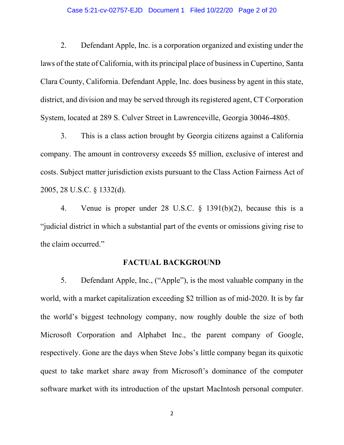#### Case 5:21-cv-02757-EJD Document 1 Filed 10/22/20 Page 2 of 20

2. Defendant Apple, Inc. is a corporation organized and existing under the laws of the state of California, with its principal place of business in Cupertino, Santa Clara County, California. Defendant Apple, Inc. does business by agent in this state, district, and division and may be served through its registered agent, CT Corporation System, located at 289 S. Culver Street in Lawrenceville, Georgia 30046-4805.

3. This is a class action brought by Georgia citizens against a California company. The amount in controversy exceeds \$5 million, exclusive of interest and costs. Subject matter jurisdiction exists pursuant to the Class Action Fairness Act of 2005, 28 U.S.C. § 1332(d).

4. Venue is proper under 28 U.S.C. § 1391(b)(2), because this is a "judicial district in which a substantial part of the events or omissions giving rise to the claim occurred.´

## **FACTUAL BACKGROUND**

5. Defendant Apple, Inc., ("Apple´), is the most valuable company in the world, with a market capitalization exceeding \$2 trillion as of mid-2020. It is by far the world's biggest technology company, now roughly double the size of both Microsoft Corporation and Alphabet Inc., the parent company of Google, respectively. Gone are the days when Steve Jobs's little company began its quixotic quest to take market share away from Microsoft's dominance of the computer software market with its introduction of the upstart MacIntosh personal computer.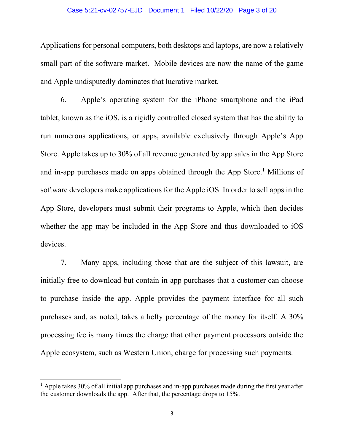#### Case 5:21-cv-02757-EJD Document 1 Filed 10/22/20 Page 3 of 20

Applications for personal computers, both desktops and laptops, are now a relatively small part of the software market. Mobile devices are now the name of the game and Apple undisputedly dominates that lucrative market.

6. Apple's operating system for the iPhone smartphone and the iPad tablet, known as the iOS, is a rigidly controlled closed system that has the ability to run numerous applications, or apps, available exclusively through Apple's App Store. Apple takes up to 30% of all revenue generated by app sales in the App Store and in-app purchases made on apps obtained through the App Store.<sup>1</sup> Millions of software developers make applications for the Apple iOS. In order to sell apps in the App Store, developers must submit their programs to Apple, which then decides whether the app may be included in the App Store and thus downloaded to iOS devices.

7. Many apps, including those that are the subject of this lawsuit, are initially free to download but contain in-app purchases that a customer can choose to purchase inside the app. Apple provides the payment interface for all such purchases and, as noted, takes a hefty percentage of the money for itself. A 30% processing fee is many times the charge that other payment processors outside the Apple ecosystem, such as Western Union, charge for processing such payments.

 $<sup>1</sup>$  Apple takes 30% of all initial app purchases and in-app purchases made during the first year after</sup> the customer downloads the app. After that, the percentage drops to 15%.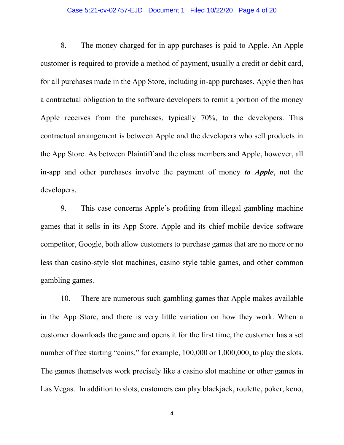#### Case 5:21-cv-02757-EJD Document 1 Filed 10/22/20 Page 4 of 20

8. The money charged for in-app purchases is paid to Apple. An Apple customer is required to provide a method of payment, usually a credit or debit card, for all purchases made in the App Store, including in-app purchases. Apple then has a contractual obligation to the software developers to remit a portion of the money Apple receives from the purchases, typically 70%, to the developers. This contractual arrangement is between Apple and the developers who sell products in the App Store. As between Plaintiff and the class members and Apple, however, all in-app and other purchases involve the payment of money *to Apple*, not the developers.

9. This case concerns Apple's profiting from illegal gambling machine games that it sells in its App Store. Apple and its chief mobile device software competitor, Google, both allow customers to purchase games that are no more or no less than casino-style slot machines, casino style table games, and other common gambling games.

10. There are numerous such gambling games that Apple makes available in the App Store, and there is very little variation on how they work. When a customer downloads the game and opens it for the first time, the customer has a set number of free starting "coins," for example,  $100,000$  or  $1,000,000$ , to play the slots. The games themselves work precisely like a casino slot machine or other games in Las Vegas. In addition to slots, customers can play blackjack, roulette, poker, keno,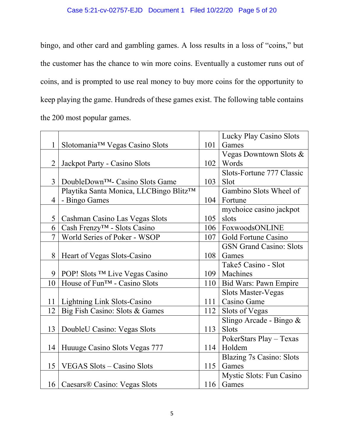bingo, and other card and gambling games. A loss results in a loss of "coins," but the customer has the chance to win more coins. Eventually a customer runs out of coins, and is prompted to use real money to buy more coins for the opportunity to keep playing the game. Hundreds of these games exist. The following table contains the 200 most popular games.

|                |                                             |     | Lucky Play Casino Slots         |
|----------------|---------------------------------------------|-----|---------------------------------|
| 1              | Slotomania™ Vegas Casino Slots              | 101 | Games                           |
|                |                                             |     | Vegas Downtown Slots &          |
| $\overline{2}$ | Jackpot Party - Casino Slots                | 102 | Words                           |
|                |                                             |     | Slots-Fortune 777 Classic       |
| 3 <sup>1</sup> | DoubleDown <sup>™</sup> - Casino Slots Game | 103 | Slot                            |
|                | Playtika Santa Monica, LLCBingo Blitz™      |     | Gambino Slots Wheel of          |
| $\overline{4}$ | - Bingo Games                               | 104 | Fortune                         |
|                |                                             |     | mychoice casino jackpot         |
| 5 <sup>1</sup> | Cashman Casino Las Vegas Slots              | 105 | slots                           |
| 6              | Cash Frenzy <sup>™</sup> - Slots Casino     | 106 | FoxwoodsONLINE                  |
| $\overline{7}$ | World Series of Poker - WSOP                | 107 | Gold Fortune Casino             |
|                |                                             |     | <b>GSN Grand Casino: Slots</b>  |
| 8              | Heart of Vegas Slots-Casino                 | 108 | Games                           |
|                |                                             |     | Take5 Casino - Slot             |
| 9 <sup>1</sup> | POP! Slots <sup>TM</sup> Live Vegas Casino  | 109 | Machines                        |
| 10             | House of Fun <sup>TM</sup> - Casino Slots   | 110 | Bid Wars: Pawn Empire           |
|                |                                             |     | <b>Slots Master-Vegas</b>       |
| 11             | Lightning Link Slots-Casino                 | 111 | Casino Game                     |
| 12             | Big Fish Casino: Slots & Games              | 112 | Slots of Vegas                  |
|                |                                             |     | Slingo Arcade - Bingo &         |
| 13             | DoubleU Casino: Vegas Slots                 | 113 | <b>Slots</b>                    |
|                |                                             |     | PokerStars Play - Texas         |
| 14             | Huuuge Casino Slots Vegas 777               | 114 | Holdem                          |
|                |                                             |     | <b>Blazing 7s Casino: Slots</b> |
| 15             | VEGAS Slots – Casino Slots                  | 115 | Games                           |
|                |                                             |     | <b>Mystic Slots: Fun Casino</b> |
|                | 16   Caesars® Casino: Vegas Slots           | 116 | Games                           |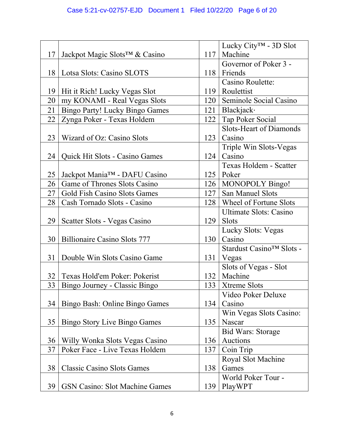|    |                                           |     | Lucky City <sup>™</sup> - 3D Slot |
|----|-------------------------------------------|-----|-----------------------------------|
| 17 | Jackpot Magic Slots <sup>™</sup> & Casino | 117 | Machine                           |
|    |                                           |     | Governor of Poker 3 -             |
| 18 | Lotsa Slots: Casino SLOTS                 | 118 | Friends                           |
|    |                                           |     | Casino Roulette:                  |
| 19 | Hit it Rich! Lucky Vegas Slot             | 119 | Roulettist                        |
| 20 | my KONAMI - Real Vegas Slots              | 120 | Seminole Social Casino            |
| 21 | <b>Bingo Party! Lucky Bingo Games</b>     | 121 | Blackjack·                        |
| 22 | Zynga Poker - Texas Holdem                | 122 | Tap Poker Social                  |
|    |                                           |     | <b>Slots-Heart of Diamonds</b>    |
| 23 | Wizard of Oz: Casino Slots                | 123 | Casino                            |
|    |                                           |     | Triple Win Slots-Vegas            |
| 24 | Quick Hit Slots - Casino Games            | 124 | Casino                            |
|    |                                           |     | Texas Holdem - Scatter            |
| 25 | Jackpot Mania™ - DAFU Casino              |     | $125$ Poker                       |
| 26 | Game of Thrones Slots Casino              |     | 126   MONOPOLY Bingo!             |
| 27 | Gold Fish Casino Slots Games              | 127 | San Manuel Slots                  |
| 28 | Cash Tornado Slots - Casino               | 128 | Wheel of Fortune Slots            |
|    |                                           |     | <b>Ultimate Slots: Casino</b>     |
| 29 | Scatter Slots - Vegas Casino              | 129 | <b>Slots</b>                      |
|    |                                           |     | <b>Lucky Slots: Vegas</b>         |
| 30 | <b>Billionaire Casino Slots 777</b>       | 130 | Casino                            |
|    |                                           |     | Stardust Casino™ Slots -          |
| 31 | Double Win Slots Casino Game              | 131 | Vegas                             |
|    |                                           |     | Slots of Vegas - Slot             |
| 32 | Texas Hold'em Poker: Pokerist             | 132 | Machine                           |
| 33 | Bingo Journey - Classic Bingo             | 133 | Xtreme Slots                      |
|    |                                           |     | Video Poker Deluxe                |
| 34 | Bingo Bash: Online Bingo Games            | 134 | Casino                            |
|    |                                           |     | Win Vegas Slots Casino:           |
| 35 | <b>Bingo Story Live Bingo Games</b>       | 135 | Nascar                            |
|    |                                           |     | <b>Bid Wars: Storage</b>          |
| 36 | Willy Wonka Slots Vegas Casino            | 136 | Auctions                          |
| 37 | Poker Face - Live Texas Holdem            | 137 | Coin Trip                         |
|    |                                           |     | Royal Slot Machine                |
| 38 | <b>Classic Casino Slots Games</b>         | 138 | Games                             |
|    |                                           |     | World Poker Tour -                |
| 39 | <b>GSN Casino: Slot Machine Games</b>     | 139 | PlayWPT                           |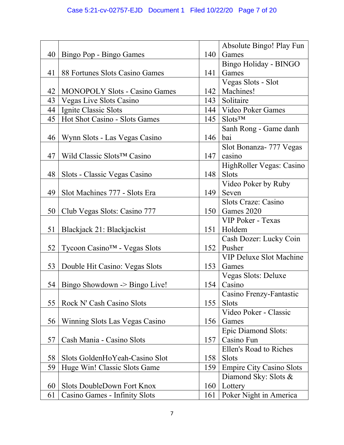|    |                                         |                  | Absolute Bingo! Play Fun        |
|----|-----------------------------------------|------------------|---------------------------------|
| 40 |                                         | 140              | Games                           |
|    | Bingo Pop - Bingo Games                 |                  |                                 |
|    |                                         |                  | Bingo Holiday - BINGO<br>Games  |
| 41 | 88 Fortunes Slots Casino Games          | 141              |                                 |
|    |                                         |                  | Vegas Slots - Slot              |
| 42 | <b>MONOPOLY Slots - Casino Games</b>    | 142              | Machines!                       |
| 43 | <b>Vegas Live Slots Casino</b>          | 143              | Solitaire                       |
| 44 | Ignite Classic Slots                    |                  | 144   Video Poker Games         |
| 45 | Hot Shot Casino - Slots Games           | 145              | $S$ lots <sup>TM</sup>          |
|    |                                         |                  | Sanh Rong - Game danh           |
| 46 | Wynn Slots - Las Vegas Casino           | 146              | bai                             |
|    |                                         |                  | Slot Bonanza- 777 Vegas         |
| 47 | Wild Classic Slots <sup>TM</sup> Casino | 147              | casino                          |
|    |                                         |                  | HighRoller Vegas: Casino        |
| 48 | Slots - Classic Vegas Casino            | 148              | <b>Slots</b>                    |
|    |                                         |                  | Video Poker by Ruby             |
| 49 | Slot Machines 777 - Slots Era           | 149              | Seven                           |
|    |                                         |                  | Slots Craze: Casino             |
| 50 | Club Vegas Slots: Casino 777            | 150 <sup>1</sup> | Games 2020                      |
|    |                                         |                  | VIP Poker - Texas               |
| 51 | Blackjack 21: Blackjackist              | 151              | Holdem                          |
|    |                                         |                  | Cash Dozer: Lucky Coin          |
| 52 | Tycoon Casino™ - Vegas Slots            | 152              | Pusher                          |
|    |                                         |                  | <b>VIP Deluxe Slot Machine</b>  |
| 53 | Double Hit Casino: Vegas Slots          | 153              | Games                           |
|    |                                         |                  | Vegas Slots: Deluxe             |
| 54 | Bingo Showdown -> Bingo Live!           | 154              | Casino                          |
|    |                                         |                  | Casino Frenzy-Fantastic         |
| 55 | Rock N' Cash Casino Slots               | 155              | <b>Slots</b>                    |
|    |                                         |                  | Video Poker - Classic           |
| 56 | Winning Slots Las Vegas Casino          | 156              | Games                           |
|    |                                         |                  | Epic Diamond Slots:             |
| 57 | Cash Mania - Casino Slots               | 157              | Casino Fun                      |
|    |                                         |                  | Ellen's Road to Riches          |
| 58 | Slots GoldenHoYeah-Casino Slot          | 158              | <b>Slots</b>                    |
| 59 | Huge Win! Classic Slots Game            | 159              | <b>Empire City Casino Slots</b> |
|    |                                         |                  |                                 |
| 60 | Slots DoubleDown Fort Knox              | 160              | Diamond Sky: Slots &            |
|    |                                         |                  | Lottery                         |
| 61 | Casino Games - Infinity Slots           | 161              | Poker Night in America          |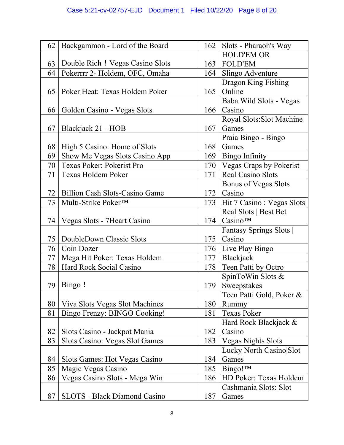| 62 | Backgammon - Lord of the Board        | 162 | Slots - Pharaoh's Way         |
|----|---------------------------------------|-----|-------------------------------|
|    |                                       |     | <b>HOLD'EM OR</b>             |
| 63 | Double Rich ! Vegas Casino Slots      | 163 | <b>FOLD'EM</b>                |
| 64 | Pokerrrr 2- Holdem, OFC, Omaha        | 164 | Slingo Adventure              |
|    |                                       |     | Dragon King Fishing           |
| 65 | Poker Heat: Texas Holdem Poker        | 165 | Online                        |
|    |                                       |     | Baba Wild Slots - Vegas       |
| 66 | Golden Casino - Vegas Slots           | 166 | Casino                        |
|    |                                       |     | Royal Slots: Slot Machine     |
| 67 | Blackjack 21 - HOB                    | 167 | Games                         |
|    |                                       |     | Praia Bingo - Bingo           |
| 68 | High 5 Casino: Home of Slots          | 168 | Games                         |
| 69 | Show Me Vegas Slots Casino App        | 169 | <b>Bingo Infinity</b>         |
| 70 | Texas Poker: Pokerist Pro             |     | 170   Vegas Craps by Pokerist |
| 71 | Texas Holdem Poker                    | 171 | Real Casino Slots             |
|    |                                       |     | <b>Bonus of Vegas Slots</b>   |
| 72 | <b>Billion Cash Slots-Casino Game</b> |     | $172$ Casino                  |
| 73 | Multi-Strike Poker™                   | 173 | Hit 7 Casino: Vegas Slots     |
|    |                                       |     | Real Slots   Best Bet         |
| 74 | Vegas Slots - 7 Heart Casino          | 174 | Casino <sup>TM</sup>          |
|    |                                       |     | Fantasy Springs Slots         |
| 75 | DoubleDown Classic Slots              | 175 | Casino                        |
| 76 | Coin Dozer                            | 176 | Live Play Bingo               |
| 77 | Mega Hit Poker: Texas Holdem          | 177 | Blackjack                     |
| 78 | Hard Rock Social Casino               | 178 | Teen Patti by Octro           |
|    |                                       |     | SpinToWin Slots &             |
|    | 79   Bingo !                          | 179 | Sweepstakes                   |
|    |                                       |     | Teen Patti Gold, Poker &      |
| 80 | Viva Slots Vegas Slot Machines        | 180 | Rummy                         |
| 81 | Bingo Frenzy: BINGO Cooking!          | 181 | <b>Texas Poker</b>            |
|    |                                       |     | Hard Rock Blackjack &         |
| 82 | Slots Casino - Jackpot Mania          | 182 | Casino                        |
| 83 | Slots Casino: Vegas Slot Games        | 183 | <b>Vegas Nights Slots</b>     |
|    |                                       |     | Lucky North Casino Slot       |
| 84 | Slots Games: Hot Vegas Casino         | 184 | Games                         |
| 85 | Magic Vegas Casino                    | 185 | Bingo! <sup>TM</sup>          |
| 86 | Vegas Casino Slots - Mega Win         | 186 | HD Poker: Texas Holdem        |
|    |                                       |     | Cashmania Slots: Slot         |
| 87 | <b>SLOTS</b> - Black Diamond Casino   | 187 | Games                         |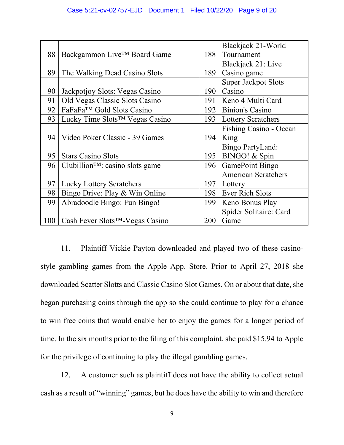|     |                                              |     | Blackjack 21-World         |
|-----|----------------------------------------------|-----|----------------------------|
| 88  | Backgammon Live <sup>™</sup> Board Game      | 188 | Tournament                 |
|     |                                              |     | Blackjack 21: Live         |
| 89  | The Walking Dead Casino Slots                | 189 | Casino game                |
|     |                                              |     | <b>Super Jackpot Slots</b> |
| 90  | Jackpotjoy Slots: Vegas Casino               | 190 | Casino                     |
| 91  | Old Vegas Classic Slots Casino               | 191 | Keno 4 Multi Card          |
| 92  | FaFaFa <sup>TM</sup> Gold Slots Casino       | 192 | <b>Binion's Casino</b>     |
| 93  | Lucky Time Slots <sup>™</sup> Vegas Casino   | 193 | <b>Lottery Scratchers</b>  |
|     |                                              |     | Fishing Casino - Ocean     |
| 94  | Video Poker Classic - 39 Games               | 194 | King                       |
|     |                                              |     | Bingo PartyLand:           |
| 95  | <b>Stars Casino Slots</b>                    | 195 | BINGO! & Spin              |
| 96  | Clubillion <sup>TM</sup> : casino slots game | 196 | GamePoint Bingo            |
|     |                                              |     | <b>American Scratchers</b> |
| 97  | <b>Lucky Lottery Scratchers</b>              | 197 | Lottery                    |
| 98  | Bingo Drive: Play & Win Online               | 198 | Ever Rich Slots            |
| 99  | Abradoodle Bingo: Fun Bingo!                 | 199 | Keno Bonus Play            |
|     |                                              |     | Spider Solitaire: Card     |
| 100 | Cash Fever Slots <sup>™</sup> -Vegas Casino  | 200 | Game                       |

11. Plaintiff Vickie Payton downloaded and played two of these casinostyle gambling games from the Apple App. Store. Prior to April 27, 2018 she downloaded Scatter Slotts and Classic Casino Slot Games. On or about that date, she began purchasing coins through the app so she could continue to play for a chance to win free coins that would enable her to enjoy the games for a longer period of time. In the six months prior to the filing of this complaint, she paid \$15.94 to Apple for the privilege of continuing to play the illegal gambling games.

12. A customer such as plaintiff does not have the ability to collect actual cash as a result of "winning" games, but he does have the ability to win and therefore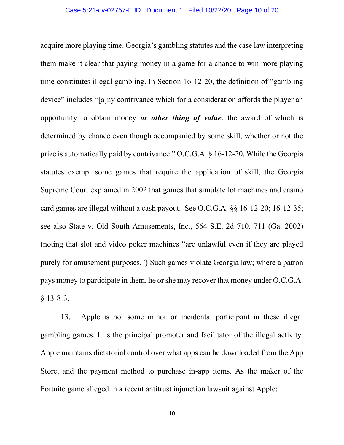acquire more playing time. Georgia's gambling statutes and the case law interpreting them make it clear that paying money in a game for a chance to win more playing time constitutes illegal gambling. In Section 16-12-20, the definition of "gambling device" includes "[a]ny contrivance which for a consideration affords the player an opportunity to obtain money *or other thing of value*, the award of which is determined by chance even though accompanied by some skill, whether or not the prize is automatically paid by contrivance." O.C.G.A.  $\S$  16-12-20. While the Georgia statutes exempt some games that require the application of skill, the Georgia Supreme Court explained in 2002 that games that simulate lot machines and casino card games are illegal without a cash payout. See O.C.G.A. §§ 16-12-20; 16-12-35; see also State v. Old South Amusements, Inc., 564 S.E. 2d 710, 711 (Ga. 2002) (noting that slot and video poker machines "are unlawful even if they are played purely for amusement purposes.´) Such games violate Georgia law; where a patron pays money to participate in them, he or she may recover that money under O.C.G.A.  $§$  13-8-3.

13. Apple is not some minor or incidental participant in these illegal gambling games. It is the principal promoter and facilitator of the illegal activity. Apple maintains dictatorial control over what apps can be downloaded from the App Store, and the payment method to purchase in-app items. As the maker of the Fortnite game alleged in a recent antitrust injunction lawsuit against Apple: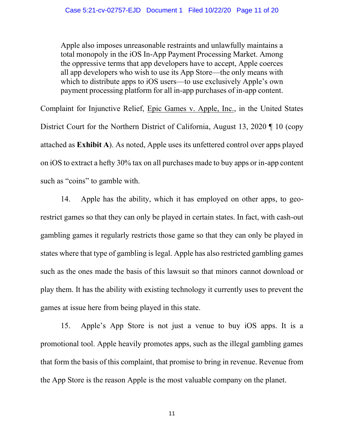Apple also imposes unreasonable restraints and unlawfully maintains a total monopoly in the iOS In-App Payment Processing Market. Among the oppressive terms that app developers have to accept, Apple coerces all app developers who wish to use its App Store—the only means with which to distribute apps to iOS users—to use exclusively Apple's own payment processing platform for all in-app purchases of in-app content.

Complaint for Injunctive Relief, Epic Games v. Apple, Inc., in the United States District Court for the Northern District of California, August 13, 2020 ¶ 10 (copy attached as **Exhibit A**). As noted, Apple uses its unfettered control over apps played on iOS to extract a hefty 30% tax on all purchases made to buy apps or in-app content such as "coins" to gamble with.

14. Apple has the ability, which it has employed on other apps, to georestrict games so that they can only be played in certain states. In fact, with cash-out gambling games it regularly restricts those game so that they can only be played in states where that type of gambling is legal. Apple has also restricted gambling games such as the ones made the basis of this lawsuit so that minors cannot download or play them. It has the ability with existing technology it currently uses to prevent the games at issue here from being played in this state.

15. Apple's App Store is not just a venue to buy iOS apps. It is a promotional tool. Apple heavily promotes apps, such as the illegal gambling games that form the basis of this complaint, that promise to bring in revenue. Revenue from the App Store is the reason Apple is the most valuable company on the planet.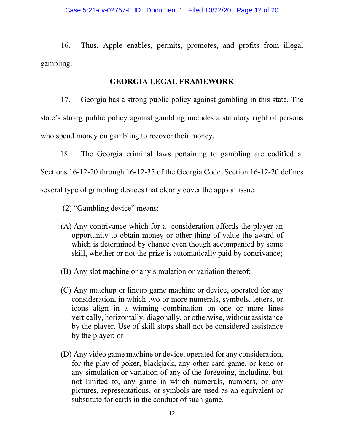16. Thus, Apple enables, permits, promotes, and profits from illegal gambling.

# **GEORGIA LEGAL FRAMEWORK**

17. Georgia has a strong public policy against gambling in this state. The state's strong public policy against gambling includes a statutory right of persons who spend money on gambling to recover their money.

 18. The Georgia criminal laws pertaining to gambling are codified at Sections 16-12-20 through 16-12-35 of the Georgia Code. Section 16-12-20 defines several type of gambling devices that clearly cover the apps at issue:

(2) "Gambling device" means:

- (A) Any contrivance which for a consideration affords the player an opportunity to obtain money or other thing of value the award of which is determined by chance even though accompanied by some skill, whether or not the prize is automatically paid by contrivance;
- (B) Any slot machine or any simulation or variation thereof;
- (C) Any matchup or lineup game machine or device, operated for any consideration, in which two or more numerals, symbols, letters, or icons align in a winning combination on one or more lines vertically, horizontally, diagonally, or otherwise, without assistance by the player. Use of skill stops shall not be considered assistance by the player; or
- (D) Any video game machine or device, operated for any consideration, for the play of poker, blackjack, any other card game, or keno or any simulation or variation of any of the foregoing, including, but not limited to, any game in which numerals, numbers, or any pictures, representations, or symbols are used as an equivalent or substitute for cards in the conduct of such game.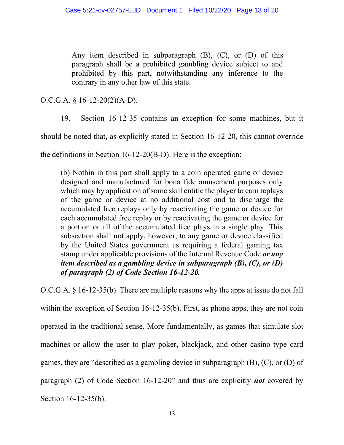Any item described in subparagraph (B), (C), or (D) of this paragraph shall be a prohibited gambling device subject to and prohibited by this part, notwithstanding any inference to the contrary in any other law of this state.

O.C.G.A. § 16-12-20(2)(A-D).

19. Section 16-12-35 contains an exception for some machines, but it

should be noted that, as explicitly stated in Section 16-12-20, this cannot override

the definitions in Section 16-12-20(B-D). Here is the exception:

(b) Nothin in this part shall apply to a coin operated game or device designed and manufactured for bona fide amusement purposes only which may by application of some skill entitle the player to earn replays of the game or device at no additional cost and to discharge the accumulated free replays only by reactivating the game or device for each accumulated free replay or by reactivating the game or device for a portion or all of the accumulated free plays in a single play. This subsection shall not apply, however, to any game or device classified by the United States government as requiring a federal gaming tax stamp under applicable provisions of the Internal Revenue Code *or any item described as a gambling device in subparagraph (B), (C), or (D) of paragraph (2) of Code Section 16-12-20.*

O.C.G.A. § 16-12-35(b). There are multiple reasons why the apps at issue do not fall within the exception of Section 16-12-35(b). First, as phone apps, they are not coin operated in the traditional sense. More fundamentally, as games that simulate slot machines or allow the user to play poker, blackjack, and other casino-type card games, they are "described as a gambling device in subparagraph (B), (C), or (D) of paragraph (2) of Code Section 16-12-20<sup>°</sup> and thus are explicitly *not* covered by Section 16-12-35(b).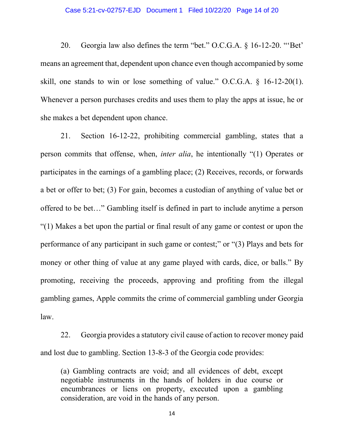#### Case 5:21-cv-02757-EJD Document 1 Filed 10/22/20 Page 14 of 20

20. Georgia law also defines the term "bet." O.C.G.A.  $\S$  16-12-20. "Bet" means an agreement that, dependent upon chance even though accompanied by some skill, one stands to win or lose something of value." O.C.G.A.  $\delta$  16-12-20(1). Whenever a person purchases credits and uses them to play the apps at issue, he or she makes a bet dependent upon chance.

21. Section 16-12-22, prohibiting commercial gambling, states that a person commits that offense, when, *inter alia*, he intentionally "(1) Operates or participates in the earnings of a gambling place; (2) Receives, records, or forwards a bet or offer to bet; (3) For gain, becomes a custodian of anything of value bet or offered to be bet..." Gambling itself is defined in part to include anytime a person "(1) Makes a bet upon the partial or final result of any game or contest or upon the performance of any participant in such game or contest;" or " $(3)$  Plays and bets for money or other thing of value at any game played with cards, dice, or balls." By promoting, receiving the proceeds, approving and profiting from the illegal gambling games, Apple commits the crime of commercial gambling under Georgia law.

22. Georgia provides a statutory civil cause of action to recover money paid and lost due to gambling. Section 13-8-3 of the Georgia code provides:

(a) Gambling contracts are void; and all evidences of debt, except negotiable instruments in the hands of holders in due course or encumbrances or liens on property, executed upon a gambling consideration, are void in the hands of any person.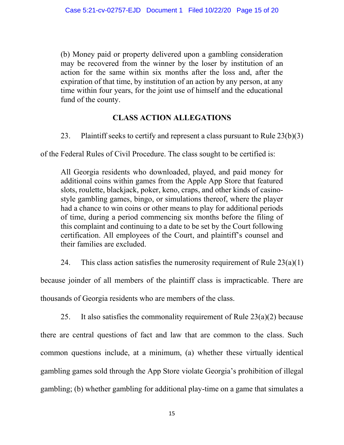(b) Money paid or property delivered upon a gambling consideration may be recovered from the winner by the loser by institution of an action for the same within six months after the loss and, after the expiration of that time, by institution of an action by any person, at any time within four years, for the joint use of himself and the educational fund of the county.

# **CLASS ACTION ALLEGATIONS**

23. Plaintiff seeks to certify and represent a class pursuant to Rule 23(b)(3)

of the Federal Rules of Civil Procedure. The class sought to be certified is:

All Georgia residents who downloaded, played, and paid money for additional coins within games from the Apple App Store that featured slots, roulette, blackjack, poker, keno, craps, and other kinds of casinostyle gambling games, bingo, or simulations thereof, where the player had a chance to win coins or other means to play for additional periods of time, during a period commencing six months before the filing of this complaint and continuing to a date to be set by the Court following certification. All employees of the Court, and plaintiff's counsel and their families are excluded.

24. This class action satisfies the numerosity requirement of Rule  $23(a)(1)$ 

because joinder of all members of the plaintiff class is impracticable. There are thousands of Georgia residents who are members of the class.

25. It also satisfies the commonality requirement of Rule  $23(a)(2)$  because there are central questions of fact and law that are common to the class. Such common questions include, at a minimum, (a) whether these virtually identical gambling games sold through the App Store violate Georgia's prohibition of illegal gambling; (b) whether gambling for additional play-time on a game that simulates a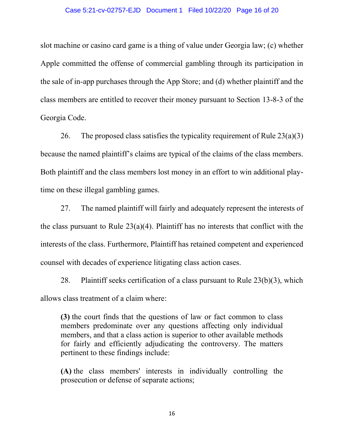#### Case 5:21-cv-02757-EJD Document 1 Filed 10/22/20 Page 16 of 20

slot machine or casino card game is a thing of value under Georgia law; (c) whether Apple committed the offense of commercial gambling through its participation in the sale of in-app purchases through the App Store; and (d) whether plaintiff and the class members are entitled to recover their money pursuant to Section 13-8-3 of the Georgia Code.

26. The proposed class satisfies the typicality requirement of Rule  $23(a)(3)$ because the named plaintiff's claims are typical of the claims of the class members. Both plaintiff and the class members lost money in an effort to win additional playtime on these illegal gambling games.

27. The named plaintiff will fairly and adequately represent the interests of the class pursuant to Rule  $23(a)(4)$ . Plaintiff has no interests that conflict with the interests of the class. Furthermore, Plaintiff has retained competent and experienced counsel with decades of experience litigating class action cases.

28. Plaintiff seeks certification of a class pursuant to Rule  $23(b)(3)$ , which allows class treatment of a claim where:

**(3)** the court finds that the questions of law or fact common to class members predominate over any questions affecting only individual members, and that a class action is superior to other available methods for fairly and efficiently adjudicating the controversy. The matters pertinent to these findings include:

**(A)** the class members' interests in individually controlling the prosecution or defense of separate actions;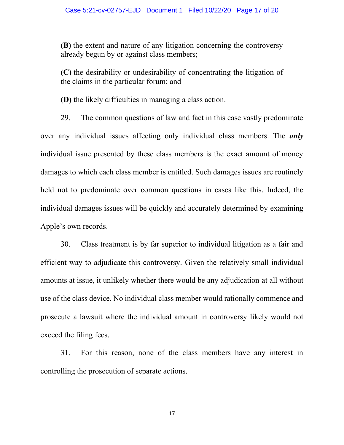**(B)** the extent and nature of any litigation concerning the controversy already begun by or against class members;

**(C)** the desirability or undesirability of concentrating the litigation of the claims in the particular forum; and

**(D)** the likely difficulties in managing a class action.

29. The common questions of law and fact in this case vastly predominate over any individual issues affecting only individual class members. The *only* individual issue presented by these class members is the exact amount of money damages to which each class member is entitled. Such damages issues are routinely held not to predominate over common questions in cases like this. Indeed, the individual damages issues will be quickly and accurately determined by examining Apple's own records.

30. Class treatment is by far superior to individual litigation as a fair and efficient way to adjudicate this controversy. Given the relatively small individual amounts at issue, it unlikely whether there would be any adjudication at all without use of the class device. No individual class member would rationally commence and prosecute a lawsuit where the individual amount in controversy likely would not exceed the filing fees.

31. For this reason, none of the class members have any interest in controlling the prosecution of separate actions.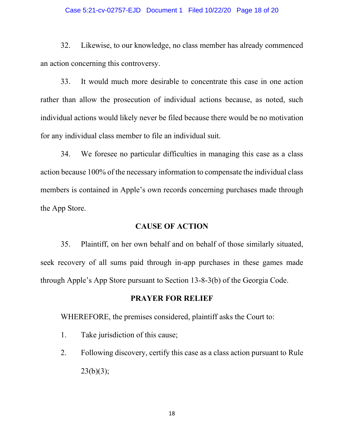#### Case 5:21-cv-02757-EJD Document 1 Filed 10/22/20 Page 18 of 20

32. Likewise, to our knowledge, no class member has already commenced an action concerning this controversy.

33. It would much more desirable to concentrate this case in one action rather than allow the prosecution of individual actions because, as noted, such individual actions would likely never be filed because there would be no motivation for any individual class member to file an individual suit.

34. We foresee no particular difficulties in managing this case as a class action because 100% of the necessary information to compensate the individual class members is contained in Apple's own records concerning purchases made through the App Store.

## **CAUSE OF ACTION**

35. Plaintiff, on her own behalf and on behalf of those similarly situated, seek recovery of all sums paid through in-app purchases in these games made through Apple's App Store pursuant to Section 13-8-3(b) of the Georgia Code.

## **PRAYER FOR RELIEF**

WHEREFORE, the premises considered, plaintiff asks the Court to:

- 1. Take jurisdiction of this cause;
- 2. Following discovery, certify this case as a class action pursuant to Rule  $23(b)(3)$ ;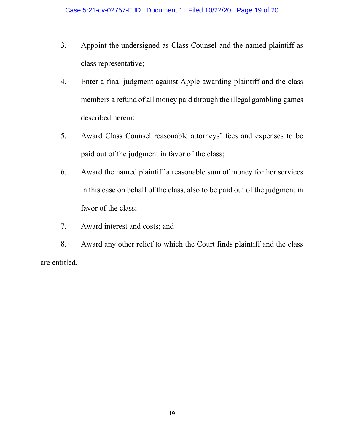- 3. Appoint the undersigned as Class Counsel and the named plaintiff as class representative;
- 4. Enter a final judgment against Apple awarding plaintiff and the class members a refund of all money paid through the illegal gambling games described herein;
- 5. Award Class Counsel reasonable attorneys' fees and expenses to be paid out of the judgment in favor of the class;
- 6. Award the named plaintiff a reasonable sum of money for her services in this case on behalf of the class, also to be paid out of the judgment in favor of the class;
- 7. Award interest and costs; and

8. Award any other relief to which the Court finds plaintiff and the class are entitled.